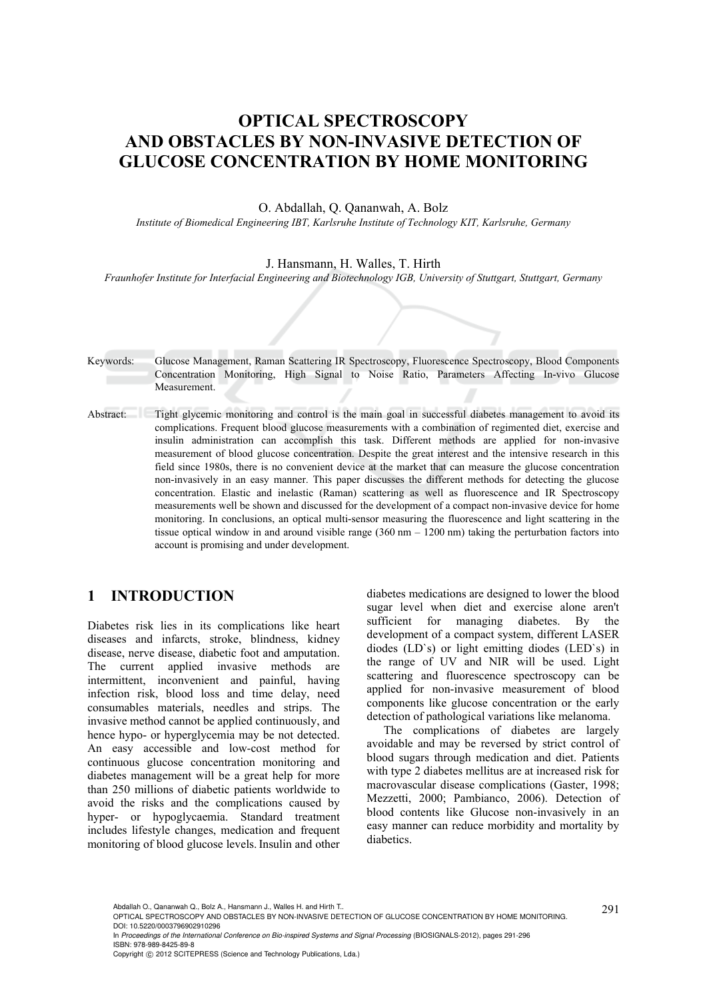# **OPTICAL SPECTROSCOPY AND OBSTACLES BY NON-INVASIVE DETECTION OF GLUCOSE CONCENTRATION BY HOME MONITORING**

O. Abdallah, Q. Qananwah, A. Bolz

*Institute of Biomedical Engineering IBT, Karlsruhe Institute of Technology KIT, Karlsruhe, Germany* 

J. Hansmann, H. Walles, T. Hirth

*Fraunhofer Institute for Interfacial Engineering and Biotechnology IGB, University of Stuttgart, Stuttgart, Germany* 

- Keywords: Glucose Management, Raman Scattering IR Spectroscopy, Fluorescence Spectroscopy, Blood Components Concentration Monitoring, High Signal to Noise Ratio, Parameters Affecting In-vivo Glucose Measurement.
- Abstract: Tight glycemic monitoring and control is the main goal in successful diabetes management to avoid its complications. Frequent blood glucose measurements with a combination of regimented diet, exercise and insulin administration can accomplish this task. Different methods are applied for non-invasive measurement of blood glucose concentration. Despite the great interest and the intensive research in this field since 1980s, there is no convenient device at the market that can measure the glucose concentration non-invasively in an easy manner. This paper discusses the different methods for detecting the glucose concentration. Elastic and inelastic (Raman) scattering as well as fluorescence and IR Spectroscopy measurements well be shown and discussed for the development of a compact non-invasive device for home monitoring. In conclusions, an optical multi-sensor measuring the fluorescence and light scattering in the tissue optical window in and around visible range (360 nm – 1200 nm) taking the perturbation factors into account is promising and under development.

# **1 INTRODUCTION**

Diabetes risk lies in its complications like heart diseases and infarcts, stroke, blindness, kidney disease, nerve disease, diabetic foot and amputation. The current applied invasive methods are intermittent, inconvenient and painful, having infection risk, blood loss and time delay, need consumables materials, needles and strips. The invasive method cannot be applied continuously, and hence hypo- or hyperglycemia may be not detected. An easy accessible and low-cost method for continuous glucose concentration monitoring and diabetes management will be a great help for more than 250 millions of diabetic patients worldwide to avoid the risks and the complications caused by hyper- or hypoglycaemia. Standard treatment includes lifestyle changes, medication and frequent monitoring of blood glucose levels.Insulin and other

diabetes medications are designed to lower the blood sugar level when diet and exercise alone aren't sufficient for managing diabetes. By the development of a compact system, different LASER diodes (LD`s) or light emitting diodes (LED`s) in the range of UV and NIR will be used. Light scattering and fluorescence spectroscopy can be applied for non-invasive measurement of blood components like glucose concentration or the early detection of pathological variations like melanoma.

The complications of diabetes are largely avoidable and may be reversed by strict control of blood sugars through medication and diet. Patients with type 2 diabetes mellitus are at increased risk for macrovascular disease complications (Gaster, 1998; Mezzetti, 2000; Pambianco, 2006). Detection of blood contents like Glucose non-invasively in an easy manner can reduce morbidity and mortality by diabetics.

In *Proceedings of the International Conference on Bio-inspired Systems and Signal Processing* (BIOSIGNALS-2012), pages 291-296 ISBN: 978-989-8425-89-8

Copyright © 2012 SCITEPRESS (Science and Technology Publications, Lda.)

Abdallah O., Qananwah Q., Bolz A., Hansmann J., Walles H. and Hirth T..<br>OPTICAL SPECTROSCOPY AND OBSTACLES BY NON-INVASIVE DETECTION OF GLUCOSE CONCENTRATION BY HOME MONITORING. DOI: 10.5220/0003796902910296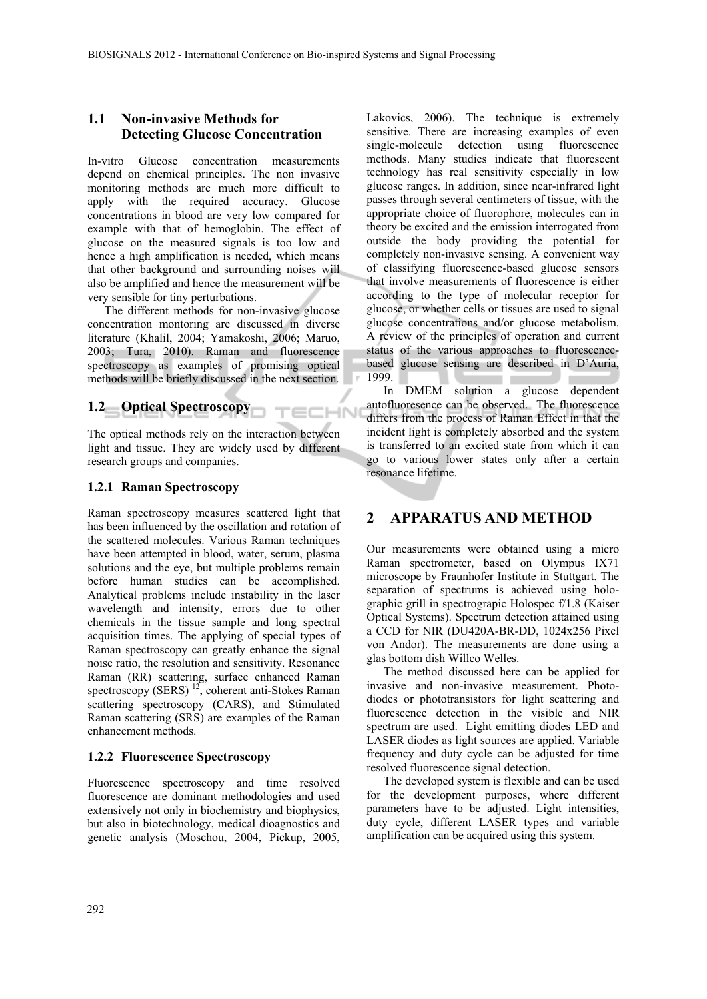٠.

**ECHN** 

#### **1.1 Non-invasive Methods for Detecting Glucose Concentration**

In-vitro Glucose concentration measurements depend on chemical principles. The non invasive monitoring methods are much more difficult to apply with the required accuracy. Glucose concentrations in blood are very low compared for example with that of hemoglobin. The effect of glucose on the measured signals is too low and hence a high amplification is needed, which means that other background and surrounding noises will also be amplified and hence the measurement will be very sensible for tiny perturbations.

The different methods for non-invasive glucose concentration montoring are discussed in diverse literature (Khalil, 2004; Yamakoshi, 2006; Maruo, 2003; Tura, 2010). Raman and fluorescence spectroscopy as examples of promising optical methods will be briefly discussed in the next section.

### **1.2 Optical Spectroscopy**

The optical methods rely on the interaction between light and tissue. They are widely used by different research groups and companies.

#### **1.2.1 Raman Spectroscopy**

Raman spectroscopy measures scattered light that has been influenced by the oscillation and rotation of the scattered molecules. Various Raman techniques have been attempted in blood, water, serum, plasma solutions and the eye, but multiple problems remain before human studies can be accomplished. Analytical problems include instability in the laser wavelength and intensity, errors due to other chemicals in the tissue sample and long spectral acquisition times. The applying of special types of Raman spectroscopy can greatly enhance the signal noise ratio, the resolution and sensitivity. Resonance Raman (RR) scattering, surface enhanced Raman spectroscopy (SERS)<sup>12</sup>, coherent anti-Stokes Raman scattering spectroscopy (CARS), and Stimulated Raman scattering (SRS) are examples of the Raman enhancement methods.

#### **1.2.2 Fluorescence Spectroscopy**

Fluorescence spectroscopy and time resolved fluorescence are dominant methodologies and used extensively not only in biochemistry and biophysics, but also in biotechnology, medical dioagnostics and genetic analysis (Moschou, 2004, Pickup, 2005,

Lakovics, 2006). The technique is extremely sensitive. There are increasing examples of even single-molecule detection using fluorescence methods. Many studies indicate that fluorescent technology has real sensitivity especially in low glucose ranges. In addition, since near-infrared light passes through several centimeters of tissue, with the appropriate choice of fluorophore, molecules can in theory be excited and the emission interrogated from outside the body providing the potential for completely non-invasive sensing. A convenient way of classifying fluorescence-based glucose sensors that involve measurements of fluorescence is either according to the type of molecular receptor for glucose, or whether cells or tissues are used to signal glucose concentrations and/or glucose metabolism. A review of the principles of operation and current status of the various approaches to fluorescencebased glucose sensing are described in D'Auria, 1999. ×

In DMEM solution a glucose dependent autofluoresence can be observed. The fluorescence differs from the process of Raman Effect in that the incident light is completely absorbed and the system is transferred to an excited state from which it can go to various lower states only after a certain resonance lifetime.

# **2 APPARATUS AND METHOD**

Our measurements were obtained using a micro Raman spectrometer, based on Olympus IX71 microscope by Fraunhofer Institute in Stuttgart. The separation of spectrums is achieved using holographic grill in spectrograpic Holospec f/1.8 (Kaiser Optical Systems). Spectrum detection attained using a CCD for NIR (DU420A-BR-DD, 1024x256 Pixel von Andor). The measurements are done using a glas bottom dish Willco Welles.

The method discussed here can be applied for invasive and non-invasive measurement. Photodiodes or phototransistors for light scattering and fluorescence detection in the visible and NIR spectrum are used. Light emitting diodes LED and LASER diodes as light sources are applied. Variable frequency and duty cycle can be adjusted for time resolved fluorescence signal detection.

The developed system is flexible and can be used for the development purposes, where different parameters have to be adjusted. Light intensities, duty cycle, different LASER types and variable amplification can be acquired using this system.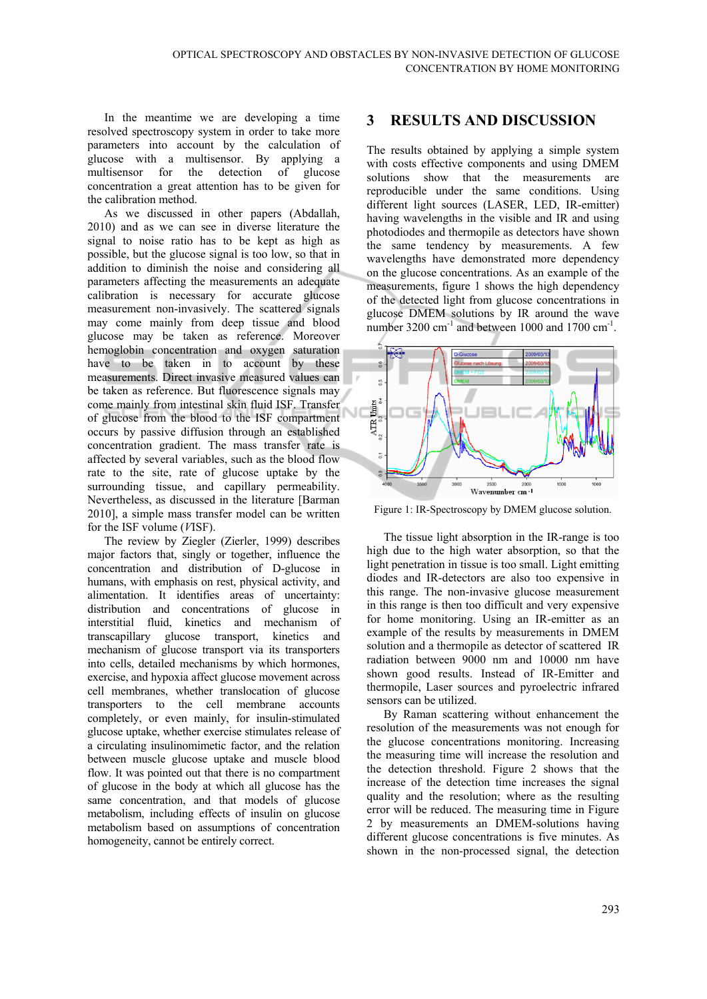In the meantime we are developing a time resolved spectroscopy system in order to take more parameters into account by the calculation of glucose with a multisensor. By applying a multisensor for the detection of glucose concentration a great attention has to be given for the calibration method.

As we discussed in other papers (Abdallah, 2010) and as we can see in diverse literature the signal to noise ratio has to be kept as high as possible, but the glucose signal is too low, so that in addition to diminish the noise and considering all parameters affecting the measurements an adequate calibration is necessary for accurate glucose measurement non-invasively. The scattered signals may come mainly from deep tissue and blood glucose may be taken as reference. Moreover hemoglobin concentration and oxygen saturation have to be taken in to account by these measurements. Direct invasive measured values can be taken as reference. But fluorescence signals may come mainly from intestinal skin fluid ISF. Transfer of glucose from the blood to the ISF compartment occurs by passive diffusion through an established concentration gradient. The mass transfer rate is affected by several variables, such as the blood flow rate to the site, rate of glucose uptake by the surrounding tissue, and capillary permeability. Nevertheless, as discussed in the literature [Barman 2010], a simple mass transfer model can be written for the ISF volume (*V*ISF).

The review by Ziegler (Zierler, 1999) describes major factors that, singly or together, influence the concentration and distribution of D-glucose in humans, with emphasis on rest, physical activity, and alimentation. It identifies areas of uncertainty: distribution and concentrations of glucose in interstitial fluid, kinetics and mechanism of transcapillary glucose transport, kinetics and mechanism of glucose transport via its transporters into cells, detailed mechanisms by which hormones, exercise, and hypoxia affect glucose movement across cell membranes, whether translocation of glucose transporters to the cell membrane accounts completely, or even mainly, for insulin-stimulated glucose uptake, whether exercise stimulates release of a circulating insulinomimetic factor, and the relation between muscle glucose uptake and muscle blood flow. It was pointed out that there is no compartment of glucose in the body at which all glucose has the same concentration, and that models of glucose metabolism, including effects of insulin on glucose metabolism based on assumptions of concentration homogeneity, cannot be entirely correct.

# **3 RESULTS AND DISCUSSION**

The results obtained by applying a simple system with costs effective components and using DMEM solutions show that the measurements are reproducible under the same conditions. Using different light sources (LASER, LED, IR-emitter) having wavelengths in the visible and IR and using photodiodes and thermopile as detectors have shown the same tendency by measurements. A few wavelengths have demonstrated more dependency on the glucose concentrations. As an example of the measurements, figure 1 shows the high dependency of the detected light from glucose concentrations in glucose DMEM solutions by IR around the wave number 3200 cm<sup>-1</sup> and between 1000 and 1700 cm<sup>-1</sup>.



Figure 1: IR-Spectroscopy by DMEM glucose solution.

The tissue light absorption in the IR-range is too high due to the high water absorption, so that the light penetration in tissue is too small. Light emitting diodes and IR-detectors are also too expensive in this range. The non-invasive glucose measurement in this range is then too difficult and very expensive for home monitoring. Using an IR-emitter as an example of the results by measurements in DMEM solution and a thermopile as detector of scattered IR radiation between 9000 nm and 10000 nm have shown good results. Instead of IR-Emitter and thermopile, Laser sources and pyroelectric infrared sensors can be utilized.

By Raman scattering without enhancement the resolution of the measurements was not enough for the glucose concentrations monitoring. Increasing the measuring time will increase the resolution and the detection threshold. Figure 2 shows that the increase of the detection time increases the signal quality and the resolution; where as the resulting error will be reduced. The measuring time in Figure 2 by measurements an DMEM-solutions having different glucose concentrations is five minutes. As shown in the non-processed signal, the detection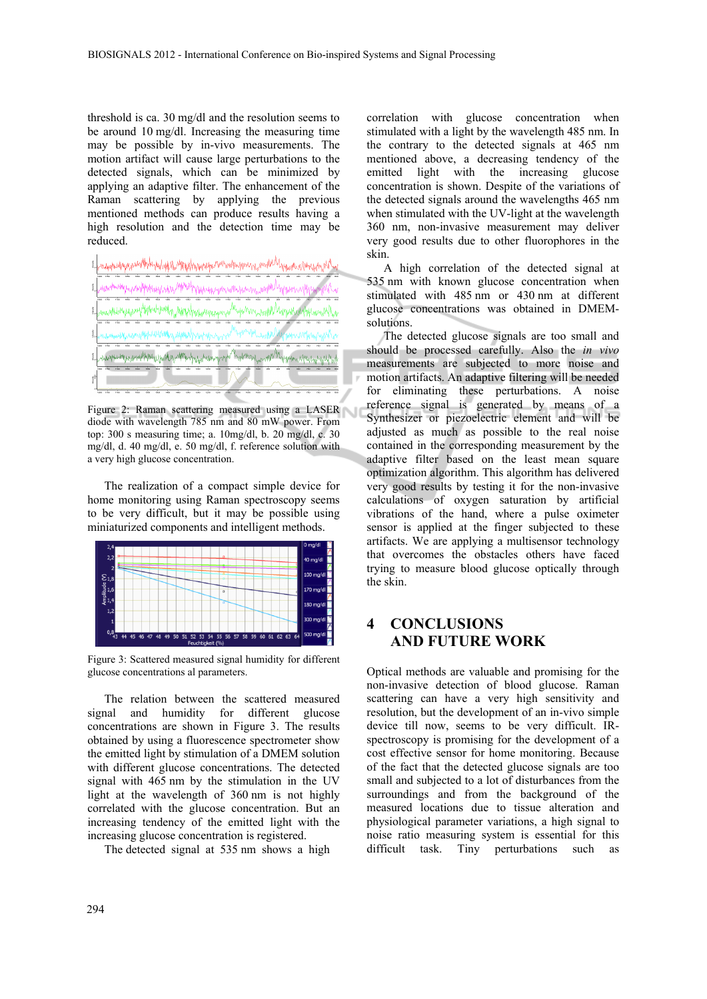threshold is ca. 30 mg/dl and the resolution seems to be around 10 mg/dl. Increasing the measuring time may be possible by in-vivo measurements. The motion artifact will cause large perturbations to the detected signals, which can be minimized by applying an adaptive filter. The enhancement of the Raman scattering by applying the previous mentioned methods can produce results having a high resolution and the detection time may be reduced.

| El <sub>e</sub> nzymbudpypynwollhybyhylaphylaphypyhypyhypynya MWardpagoray, mahMA <sub>lghas</sub> m.sy/way. |
|--------------------------------------------------------------------------------------------------------------|
| a Milliam<br>:<br>เหมายนาม<br>î.                                                                             |
| 1. www.ukieny.com/hiphohomin/hippypy.com/maphy.com/hippymaphy.com/with/hippy/with/hippy/with/hip             |
|                                                                                                              |
| mummhnuturnin                                                                                                |
| www.chengebook.com/php264UhtMywqMqwqhwqhythwyww.chengebook.com/www.ay/MappamwyAhtMythythy                    |
|                                                                                                              |

Figure 2: Raman scattering measured using a LASER diode with wavelength 785 nm and 80 mW power. From top: 300 s measuring time; a. 10mg/dl, b. 20 mg/dl, c. 30 mg/dl, d. 40 mg/dl, e. 50 mg/dl, f. reference solution with a very high glucose concentration.

The realization of a compact simple device for home monitoring using Raman spectroscopy seems to be very difficult, but it may be possible using miniaturized components and intelligent methods.



Figure 3: Scattered measured signal humidity for different glucose concentrations al parameters.

The relation between the scattered measured signal and humidity for different glucose concentrations are shown in Figure 3. The results obtained by using a fluorescence spectrometer show the emitted light by stimulation of a DMEM solution with different glucose concentrations. The detected signal with 465 nm by the stimulation in the UV light at the wavelength of 360 nm is not highly correlated with the glucose concentration. But an increasing tendency of the emitted light with the increasing glucose concentration is registered.

The detected signal at 535 nm shows a high

correlation with glucose concentration when stimulated with a light by the wavelength 485 nm. In the contrary to the detected signals at 465 nm mentioned above, a decreasing tendency of the emitted light with the increasing glucose concentration is shown. Despite of the variations of the detected signals around the wavelengths 465 nm when stimulated with the UV-light at the wavelength 360 nm, non-invasive measurement may deliver very good results due to other fluorophores in the skin.

A high correlation of the detected signal at 535 nm with known glucose concentration when stimulated with 485 nm or 430 nm at different glucose concentrations was obtained in DMEMsolutions.

The detected glucose signals are too small and should be processed carefully. Also the *in vivo* measurements are subjected to more noise and motion artifacts. An adaptive filtering will be needed for eliminating these perturbations. A noise reference signal is generated by means of a Synthesizer or piezoelectric element and will be adjusted as much as possible to the real noise contained in the corresponding measurement by the adaptive filter based on the least mean square optimization algorithm. This algorithm has delivered very good results by testing it for the non-invasive calculations of oxygen saturation by artificial vibrations of the hand, where a pulse oximeter sensor is applied at the finger subjected to these artifacts. We are applying a multisensor technology that overcomes the obstacles others have faced trying to measure blood glucose optically through the skin.

# **4 CONCLUSIONS AND FUTURE WORK**

Optical methods are valuable and promising for the non-invasive detection of blood glucose. Raman scattering can have a very high sensitivity and resolution, but the development of an in-vivo simple device till now, seems to be very difficult. IRspectroscopy is promising for the development of a cost effective sensor for home monitoring. Because of the fact that the detected glucose signals are too small and subjected to a lot of disturbances from the surroundings and from the background of the measured locations due to tissue alteration and physiological parameter variations, a high signal to noise ratio measuring system is essential for this difficult task. Tiny perturbations such as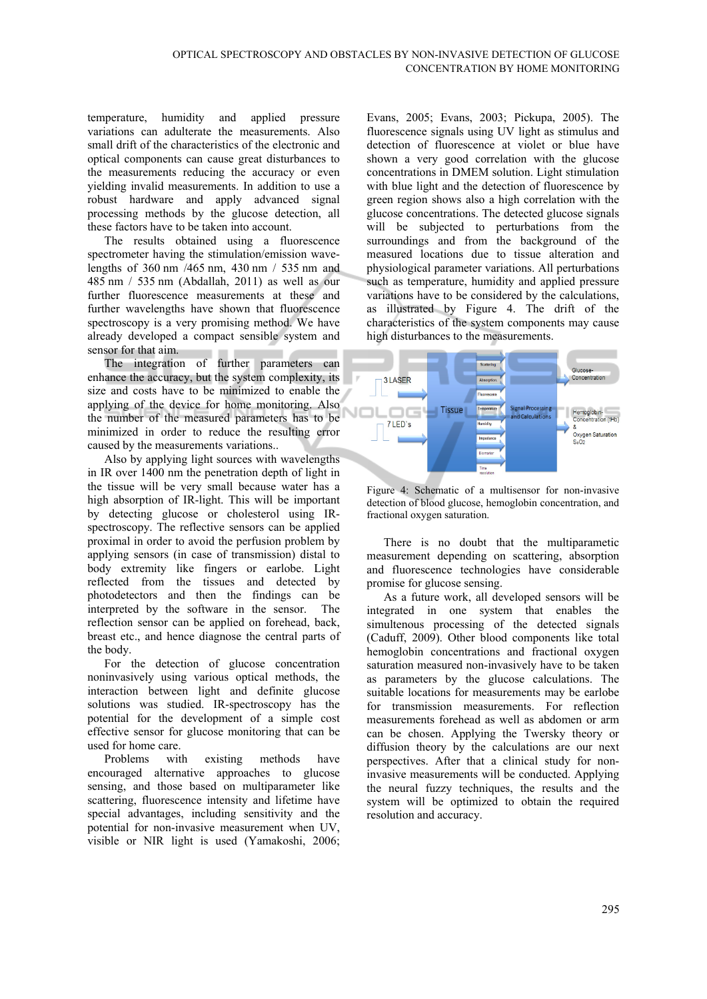temperature, humidity and applied pressure variations can adulterate the measurements. Also small drift of the characteristics of the electronic and optical components can cause great disturbances to the measurements reducing the accuracy or even yielding invalid measurements. In addition to use a robust hardware and apply advanced signal processing methods by the glucose detection, all these factors have to be taken into account.

The results obtained using a fluorescence spectrometer having the stimulation/emission wavelengths of 360 nm /465 nm, 430 nm / 535 nm and 485 nm / 535 nm (Abdallah, 2011) as well as our further fluorescence measurements at these and further wavelengths have shown that fluorescence spectroscopy is a very promising method. We have already developed a compact sensible system and sensor for that aim.

The integration of further parameters can enhance the accuracy, but the system complexity, its size and costs have to be minimized to enable the applying of the device for home monitoring. Also the number of the measured parameters has to be minimized in order to reduce the resulting error caused by the measurements variations..

Also by applying light sources with wavelengths in IR over 1400 nm the penetration depth of light in the tissue will be very small because water has a high absorption of IR-light. This will be important by detecting glucose or cholesterol using IRspectroscopy. The reflective sensors can be applied proximal in order to avoid the perfusion problem by applying sensors (in case of transmission) distal to body extremity like fingers or earlobe. Light reflected from the tissues and detected by photodetectors and then the findings can be interpreted by the software in the sensor. The reflection sensor can be applied on forehead, back, breast etc., and hence diagnose the central parts of the body.

For the detection of glucose concentration noninvasively using various optical methods, the interaction between light and definite glucose solutions was studied. IR-spectroscopy has the potential for the development of a simple cost effective sensor for glucose monitoring that can be used for home care.

Problems with existing methods have encouraged alternative approaches to glucose sensing, and those based on multiparameter like scattering, fluorescence intensity and lifetime have special advantages, including sensitivity and the potential for non-invasive measurement when UV, visible or NIR light is used (Yamakoshi, 2006;

Evans, 2005; Evans, 2003; Pickupa, 2005). The fluorescence signals using UV light as stimulus and detection of fluorescence at violet or blue have shown a very good correlation with the glucose concentrations in DMEM solution. Light stimulation with blue light and the detection of fluorescence by green region shows also a high correlation with the glucose concentrations. The detected glucose signals will be subjected to perturbations from the surroundings and from the background of the measured locations due to tissue alteration and physiological parameter variations. All perturbations such as temperature, humidity and applied pressure variations have to be considered by the calculations, as illustrated by Figure 4. The drift of the characteristics of the system components may cause high disturbances to the measurements.



Figure 4: Schematic of a multisensor for non-invasive detection of blood glucose, hemoglobin concentration, and fractional oxygen saturation.

There is no doubt that the multiparametic measurement depending on scattering, absorption and fluorescence technologies have considerable promise for glucose sensing.

As a future work, all developed sensors will be integrated in one system that enables the simultenous processing of the detected signals (Caduff, 2009). Other blood components like total hemoglobin concentrations and fractional oxygen saturation measured non-invasively have to be taken as parameters by the glucose calculations. The suitable locations for measurements may be earlobe for transmission measurements. For reflection measurements forehead as well as abdomen or arm can be chosen. Applying the Twersky theory or diffusion theory by the calculations are our next perspectives. After that a clinical study for noninvasive measurements will be conducted. Applying the neural fuzzy techniques, the results and the system will be optimized to obtain the required resolution and accuracy.